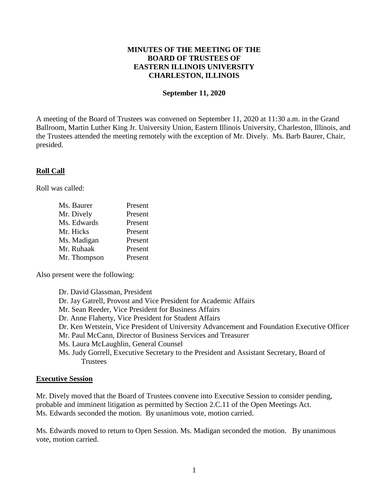## **MINUTES OF THE MEETING OF THE BOARD OF TRUSTEES OF EASTERN ILLINOIS UNIVERSITY CHARLESTON, ILLINOIS**

### **September 11, 2020**

A meeting of the Board of Trustees was convened on September 11, 2020 at 11:30 a.m. in the Grand Ballroom, Martin Luther King Jr. University Union, Eastern Illinois University, Charleston, Illinois, and the Trustees attended the meeting remotely with the exception of Mr. Dively. Ms. Barb Baurer, Chair, presided.

## **Roll Call**

Roll was called:

| Ms. Baurer   | Present |
|--------------|---------|
| Mr. Dively   | Present |
| Ms. Edwards  | Present |
| Mr. Hicks    | Present |
| Ms. Madigan  | Present |
| Mr. Ruhaak   | Present |
| Mr. Thompson | Present |
|              |         |

Also present were the following:

Dr. David Glassman, President Dr. Jay Gatrell, Provost and Vice President for Academic Affairs Mr. Sean Reeder, Vice President for Business Affairs Dr. Anne Flaherty, Vice President for Student Affairs Dr. Ken Wetstein, Vice President of University Advancement and Foundation Executive Officer Mr. Paul McCann, Director of Business Services and Treasurer Ms. Laura McLaughlin, General Counsel Ms. Judy Gorrell, Executive Secretary to the President and Assistant Secretary, Board of **Trustees** 

#### **Executive Session**

Mr. Dively moved that the Board of Trustees convene into Executive Session to consider pending, probable and imminent litigation as permitted by Section 2.C.11 of the Open Meetings Act. Ms. Edwards seconded the motion. By unanimous vote, motion carried.

Ms. Edwards moved to return to Open Session. Ms. Madigan seconded the motion. By unanimous vote, motion carried.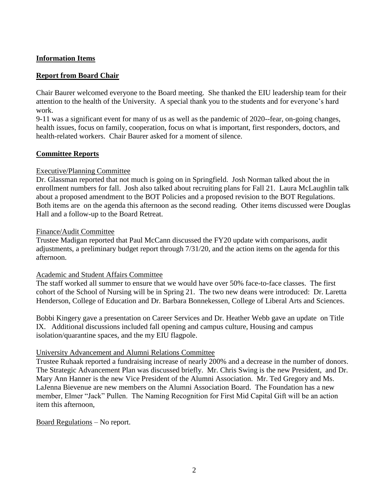## **Information Items**

## **Report from Board Chair**

Chair Baurer welcomed everyone to the Board meeting. She thanked the EIU leadership team for their attention to the health of the University. A special thank you to the students and for everyone's hard work.

9-11 was a significant event for many of us as well as the pandemic of 2020--fear, on-going changes, health issues, focus on family, cooperation, focus on what is important, first responders, doctors, and health-related workers. Chair Baurer asked for a moment of silence.

## **Committee Reports**

#### Executive/Planning Committee

Dr. Glassman reported that not much is going on in Springfield. Josh Norman talked about the in enrollment numbers for fall. Josh also talked about recruiting plans for Fall 21. Laura McLaughlin talk about a proposed amendment to the BOT Policies and a proposed revision to the BOT Regulations. Both items are on the agenda this afternoon as the second reading. Other items discussed were Douglas Hall and a follow-up to the Board Retreat.

#### Finance/Audit Committee

Trustee Madigan reported that Paul McCann discussed the FY20 update with comparisons, audit adjustments, a preliminary budget report through 7/31/20, and the action items on the agenda for this afternoon.

#### Academic and Student Affairs Committee

The staff worked all summer to ensure that we would have over 50% face-to-face classes. The first cohort of the School of Nursing will be in Spring 21. The two new deans were introduced: Dr. Laretta Henderson, College of Education and Dr. Barbara Bonnekessen, College of Liberal Arts and Sciences.

Bobbi Kingery gave a presentation on Career Services and Dr. Heather Webb gave an update on Title IX. Additional discussions included fall opening and campus culture, Housing and campus isolation/quarantine spaces, and the my EIU flagpole.

#### University Advancement and Alumni Relations Committee

Trustee Ruhaak reported a fundraising increase of nearly 200% and a decrease in the number of donors. The Strategic Advancement Plan was discussed briefly. Mr. Chris Swing is the new President, and Dr. Mary Ann Hanner is the new Vice President of the Alumni Association. Mr. Ted Gregory and Ms. LaJenna Bievenue are new members on the Alumni Association Board. The Foundation has a new member, Elmer "Jack" Pullen. The Naming Recognition for First Mid Capital Gift will be an action item this afternoon,

#### Board Regulations – No report.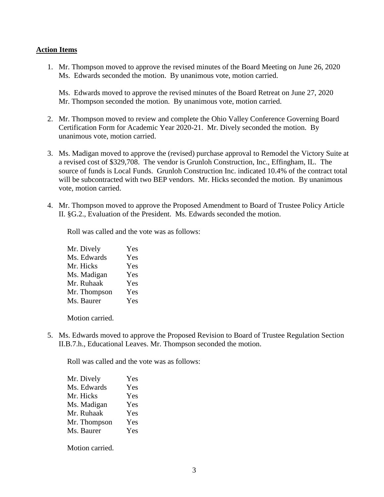#### **Action Items**

1. Mr. Thompson moved to approve the revised minutes of the Board Meeting on June 26, 2020 Ms. Edwards seconded the motion. By unanimous vote, motion carried.

Ms. Edwards moved to approve the revised minutes of the Board Retreat on June 27, 2020 Mr. Thompson seconded the motion. By unanimous vote, motion carried.

- 2. Mr. Thompson moved to review and complete the Ohio Valley Conference Governing Board Certification Form for Academic Year 2020-21. Mr. Dively seconded the motion. By unanimous vote, motion carried.
- 3. Ms. Madigan moved to approve the (revised) purchase approval to Remodel the Victory Suite at a revised cost of \$329,708. The vendor is Grunloh Construction, Inc., Effingham, IL. The source of funds is Local Funds. Grunloh Construction Inc. indicated 10.4% of the contract total will be subcontracted with two BEP vendors. Mr. Hicks seconded the motion. By unanimous vote, motion carried.
- 4. Mr. Thompson moved to approve the Proposed Amendment to Board of Trustee Policy Article II. §G.2., Evaluation of the President. Ms. Edwards seconded the motion.

Roll was called and the vote was as follows:

Mr. Dively Yes Ms. Edwards Yes Mr. Hicks Yes Ms. Madigan Yes Mr. Ruhaak Yes Mr. Thompson Yes Ms. Baurer Yes

Motion carried.

5. Ms. Edwards moved to approve the Proposed Revision to Board of Trustee Regulation Section II.B.7.h., Educational Leaves. Mr. Thompson seconded the motion.

Roll was called and the vote was as follows:

Mr. Dively Yes Ms. Edwards Yes Mr. Hicks Yes Ms. Madigan Yes Mr. Ruhaak Yes Mr. Thompson Yes Ms. Baurer Yes

Motion carried.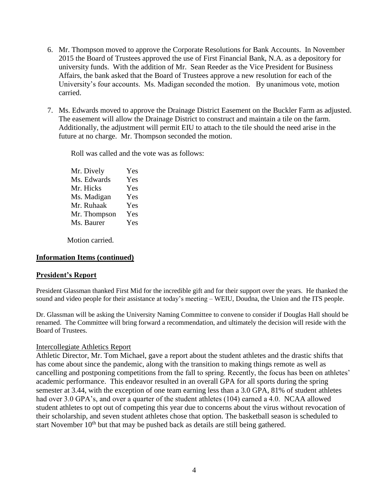- 6. Mr. Thompson moved to approve the Corporate Resolutions for Bank Accounts. In November 2015 the Board of Trustees approved the use of First Financial Bank, N.A. as a depository for university funds. With the addition of Mr. Sean Reeder as the Vice President for Business Affairs, the bank asked that the Board of Trustees approve a new resolution for each of the University's four accounts. Ms. Madigan seconded the motion. By unanimous vote, motion carried.
- 7. Ms. Edwards moved to approve the Drainage District Easement on the Buckler Farm as adjusted. The easement will allow the Drainage District to construct and maintain a tile on the farm. Additionally, the adjustment will permit EIU to attach to the tile should the need arise in the future at no charge. Mr. Thompson seconded the motion.

Roll was called and the vote was as follows:

Mr. Dively Yes Ms. Edwards Yes Mr. Hicks Yes Ms. Madigan Yes Mr. Ruhaak Yes Mr. Thompson Yes Ms. Baurer Yes

Motion carried.

#### **Information Items (continued)**

#### **President's Report**

President Glassman thanked First Mid for the incredible gift and for their support over the years. He thanked the sound and video people for their assistance at today's meeting – WEIU, Doudna, the Union and the ITS people.

Dr. Glassman will be asking the University Naming Committee to convene to consider if Douglas Hall should be renamed. The Committee will bring forward a recommendation, and ultimately the decision will reside with the Board of Trustees.

#### Intercollegiate Athletics Report

Athletic Director, Mr. Tom Michael, gave a report about the student athletes and the drastic shifts that has come about since the pandemic, along with the transition to making things remote as well as cancelling and postponing competitions from the fall to spring. Recently, the focus has been on athletes' academic performance. This endeavor resulted in an overall GPA for all sports during the spring semester at 3.44, with the exception of one team earning less than a 3.0 GPA, 81% of student athletes had over 3.0 GPA's, and over a quarter of the student athletes (104) earned a 4.0. NCAA allowed student athletes to opt out of competing this year due to concerns about the virus without revocation of their scholarship, and seven student athletes chose that option. The basketball season is scheduled to start November  $10<sup>th</sup>$  but that may be pushed back as details are still being gathered.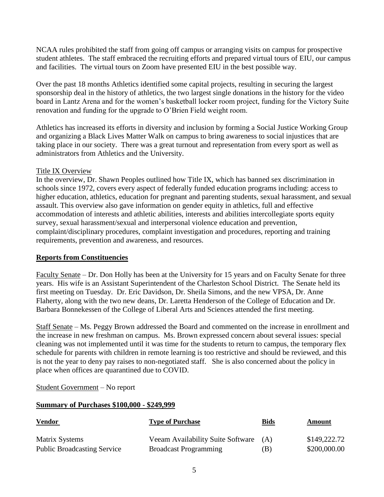NCAA rules prohibited the staff from going off campus or arranging visits on campus for prospective student athletes. The staff embraced the recruiting efforts and prepared virtual tours of EIU, our campus and facilities. The virtual tours on Zoom have presented EIU in the best possible way.

Over the past 18 months Athletics identified some capital projects, resulting in securing the largest sponsorship deal in the history of athletics, the two largest single donations in the history for the video board in Lantz Arena and for the women's basketball locker room project, funding for the Victory Suite renovation and funding for the upgrade to O'Brien Field weight room.

Athletics has increased its efforts in diversity and inclusion by forming a Social Justice Working Group and organizing a Black Lives Matter Walk on campus to bring awareness to social injustices that are taking place in our society. There was a great turnout and representation from every sport as well as administrators from Athletics and the University.

# Title IX Overview

In the overview, Dr. Shawn Peoples outlined how Title IX, which has banned sex discrimination in schools since 1972, covers every aspect of federally funded education programs including: access to higher education, athletics, education for pregnant and parenting students, sexual harassment, and sexual assault. This overview also gave information on gender equity in athletics, full and effective accommodation of interests and athletic abilities, interests and abilities intercollegiate sports equity survey, sexual harassment/sexual and interpersonal violence education and prevention, complaint/disciplinary procedures, complaint investigation and procedures, reporting and training requirements, prevention and awareness, and resources.

# **Reports from Constituencies**

Faculty Senate – Dr. Don Holly has been at the University for 15 years and on Faculty Senate for three years. His wife is an Assistant Superintendent of the Charleston School District. The Senate held its first meeting on Tuesday. Dr. Eric Davidson, Dr. Sheila Simons, and the new VPSA, Dr. Anne Flaherty, along with the two new deans, Dr. Laretta Henderson of the College of Education and Dr. Barbara Bonnekessen of the College of Liberal Arts and Sciences attended the first meeting.

Staff Senate – Ms. Peggy Brown addressed the Board and commented on the increase in enrollment and the increase in new freshman on campus. Ms. Brown expressed concern about several issues: special cleaning was not implemented until it was time for the students to return to campus, the temporary flex schedule for parents with children in remote learning is too restrictive and should be reviewed, and this is not the year to deny pay raises to non-negotiated staff. She is also concerned about the policy in place when offices are quarantined due to COVID.

Student Government – No report

# **Summary of Purchases \$100,000 - \$249,999**

| <u>Vendor</u>                      | <b>Type of Purchase</b>           | <u>Bids</u> | <b>Amount</b> |
|------------------------------------|-----------------------------------|-------------|---------------|
| Matrix Systems                     | Veeam Availability Suite Software | (A)         | \$149,222.72  |
| <b>Public Broadcasting Service</b> | <b>Broadcast Programming</b>      | (B)         | \$200,000.00  |